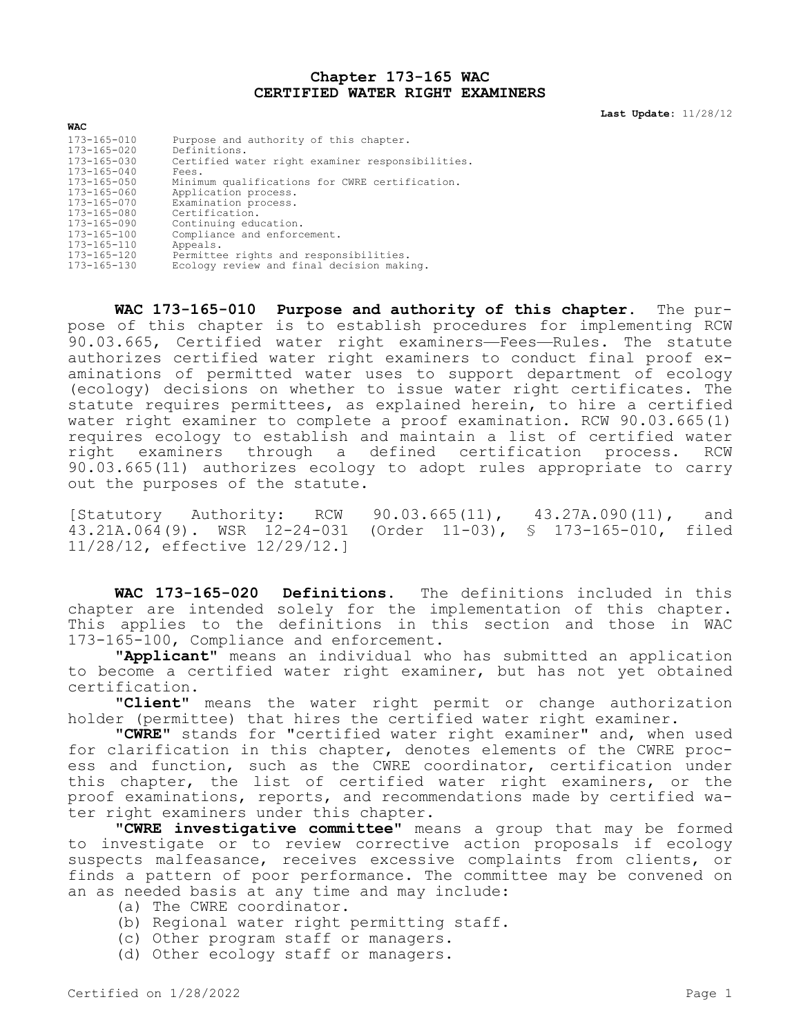## **Chapter 173-165 WAC CERTIFIED WATER RIGHT EXAMINERS**

**Last Update:** 11/28/12

| <b>WAC</b>        |                                                  |  |
|-------------------|--------------------------------------------------|--|
| $173 - 165 - 010$ | Purpose and authority of this chapter.           |  |
| $173 - 165 - 020$ | Definitions.                                     |  |
| 173-165-030       | Certified water right examiner responsibilities. |  |
| $173 - 165 - 040$ | Fees.                                            |  |
| $173 - 165 - 050$ | Minimum qualifications for CWRE certification.   |  |
| 173-165-060       | Application process.                             |  |
| $173 - 165 - 070$ | Examination process.                             |  |
| 173-165-080       | Certification.                                   |  |
| 173-165-090       | Continuing education.                            |  |
| $173 - 165 - 100$ | Compliance and enforcement.                      |  |
| 173-165-110       | Appeals.                                         |  |
| 173-165-120       | Permittee rights and responsibilities.           |  |
| $173 - 165 - 130$ | Ecology review and final decision making.        |  |

**WAC 173-165-010 Purpose and authority of this chapter.** The purpose of this chapter is to establish procedures for implementing RCW 90.03.665, Certified water right examiners—Fees—Rules. The statute authorizes certified water right examiners to conduct final proof examinations of permitted water uses to support department of ecology (ecology) decisions on whether to issue water right certificates. The statute requires permittees, as explained herein, to hire a certified water right examiner to complete a proof examination. RCW 90.03.665(1) requires ecology to establish and maintain a list of certified water right examiners through a defined certification process. RCW 90.03.665(11) authorizes ecology to adopt rules appropriate to carry out the purposes of the statute.

[Statutory Authority: RCW 90.03.665(11), 43.27A.090(11), and  $43.21A.064(9)$ . WSR  $12-24-031$  (Order 11-03), § 173-165-010, filed 11/28/12, effective 12/29/12.]

**WAC 173-165-020 Definitions.** The definitions included in this chapter are intended solely for the implementation of this chapter. This applies to the definitions in this section and those in WAC 173-165-100, Compliance and enforcement.

**"Applicant"** means an individual who has submitted an application to become a certified water right examiner, but has not yet obtained certification.

**"Client"** means the water right permit or change authorization holder (permittee) that hires the certified water right examiner.

**"CWRE"** stands for "certified water right examiner" and, when used for clarification in this chapter, denotes elements of the CWRE process and function, such as the CWRE coordinator, certification under this chapter, the list of certified water right examiners, or the proof examinations, reports, and recommendations made by certified water right examiners under this chapter.

**"CWRE investigative committee"** means a group that may be formed to investigate or to review corrective action proposals if ecology suspects malfeasance, receives excessive complaints from clients, or finds a pattern of poor performance. The committee may be convened on an as needed basis at any time and may include:

- (a) The CWRE coordinator.
- (b) Regional water right permitting staff.
- (c) Other program staff or managers.
- (d) Other ecology staff or managers.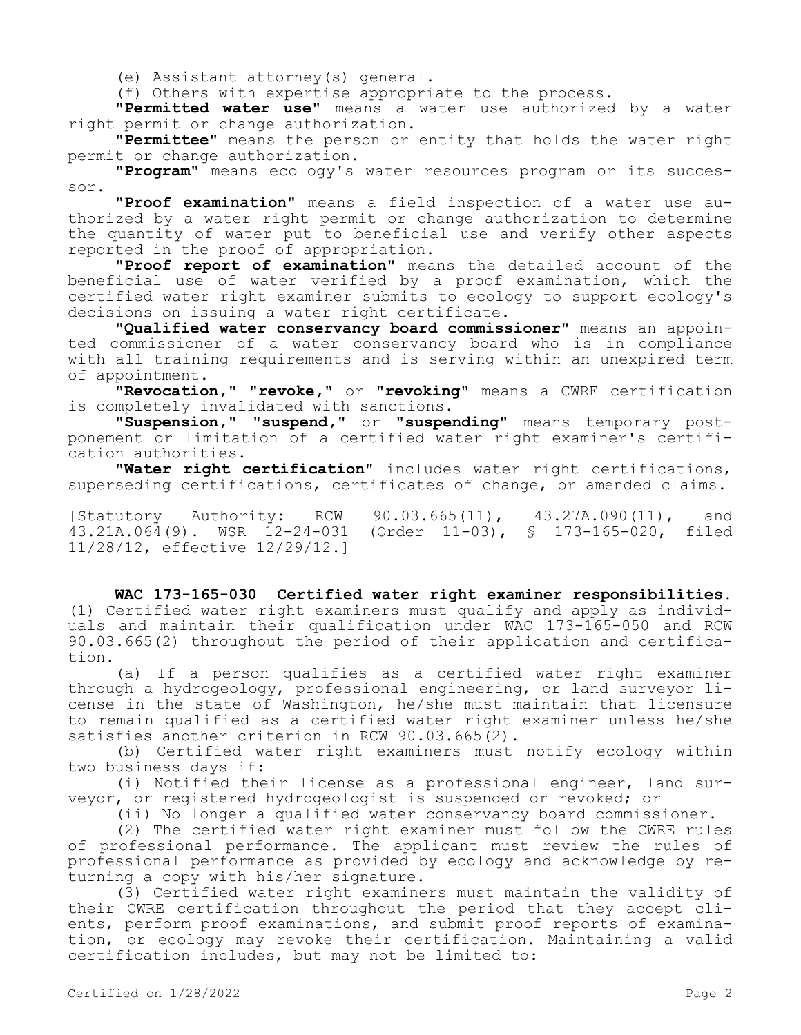(e) Assistant attorney(s) general.

(f) Others with expertise appropriate to the process.

**"Permitted water use"** means a water use authorized by a water right permit or change authorization.

**"Permittee"** means the person or entity that holds the water right permit or change authorization.

**"Program"** means ecology's water resources program or its successor.

**"Proof examination"** means a field inspection of a water use authorized by a water right permit or change authorization to determine the quantity of water put to beneficial use and verify other aspects reported in the proof of appropriation.

**"Proof report of examination"** means the detailed account of the beneficial use of water verified by a proof examination, which the certified water right examiner submits to ecology to support ecology's decisions on issuing a water right certificate.

**"Qualified water conservancy board commissioner"** means an appointed commissioner of a water conservancy board who is in compliance with all training requirements and is serving within an unexpired term of appointment.

**"Revocation," "revoke,"** or **"revoking"** means a CWRE certification is completely invalidated with sanctions.

**"Suspension," "suspend,"** or **"suspending"** means temporary postponement or limitation of a certified water right examiner's certification authorities.

**"Water right certification"** includes water right certifications, superseding certifications, certificates of change, or amended claims.

[Statutory Authority: RCW 90.03.665(11), 43.27A.090(11), and 43.21A.064(9). WSR 12-24-031 (Order 11-03), § 173-165-020, filed 11/28/12, effective 12/29/12.]

**WAC 173-165-030 Certified water right examiner responsibilities.**  (1) Certified water right examiners must qualify and apply as individuals and maintain their qualification under WAC 173-165-050 and RCW 90.03.665(2) throughout the period of their application and certification.

(a) If a person qualifies as a certified water right examiner through a hydrogeology, professional engineering, or land surveyor license in the state of Washington, he/she must maintain that licensure to remain qualified as a certified water right examiner unless he/she satisfies another criterion in RCW 90.03.665(2).

(b) Certified water right examiners must notify ecology within two business days if:

(i) Notified their license as a professional engineer, land surveyor, or registered hydrogeologist is suspended or revoked; or

(ii) No longer a qualified water conservancy board commissioner.

(2) The certified water right examiner must follow the CWRE rules of professional performance. The applicant must review the rules of professional performance as provided by ecology and acknowledge by returning a copy with his/her signature.

(3) Certified water right examiners must maintain the validity of their CWRE certification throughout the period that they accept clients, perform proof examinations, and submit proof reports of examination, or ecology may revoke their certification. Maintaining a valid certification includes, but may not be limited to: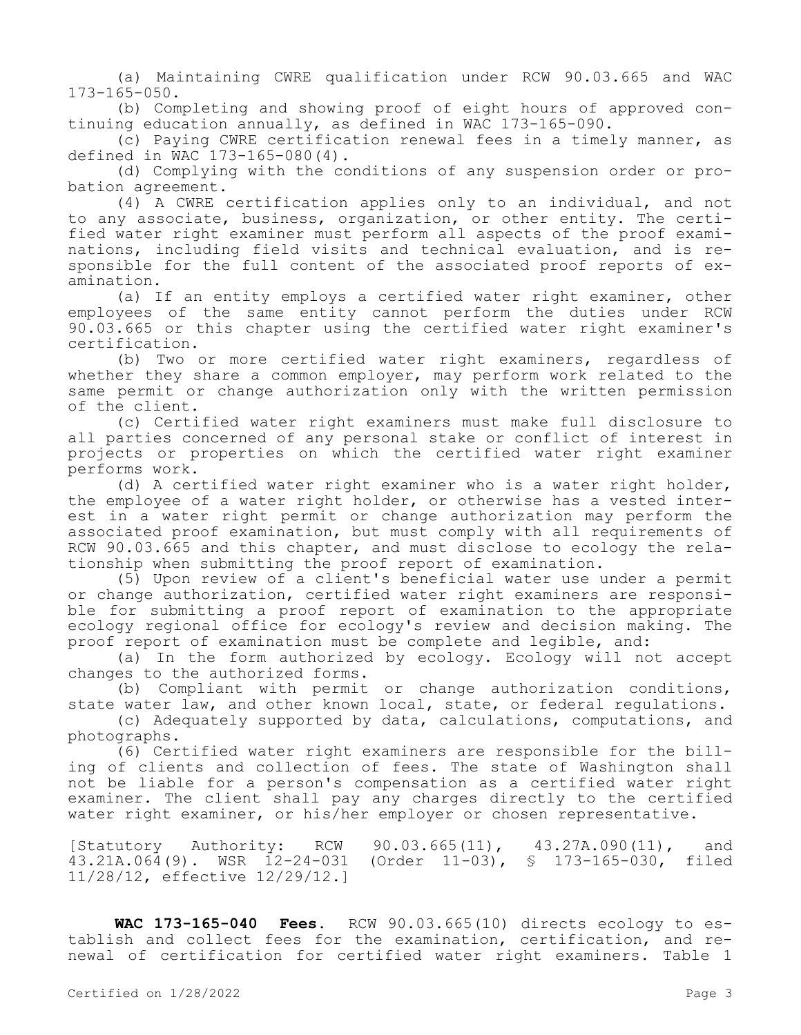(a) Maintaining CWRE qualification under RCW 90.03.665 and WAC 173-165-050.

(b) Completing and showing proof of eight hours of approved continuing education annually, as defined in WAC 173-165-090.

(c) Paying CWRE certification renewal fees in a timely manner, as defined in WAC 173-165-080(4).

(d) Complying with the conditions of any suspension order or probation agreement.

(4) A CWRE certification applies only to an individual, and not to any associate, business, organization, or other entity. The certified water right examiner must perform all aspects of the proof examinations, including field visits and technical evaluation, and is responsible for the full content of the associated proof reports of examination.

(a) If an entity employs a certified water right examiner, other employees of the same entity cannot perform the duties under RCW 90.03.665 or this chapter using the certified water right examiner's certification.

(b) Two or more certified water right examiners, regardless of whether they share a common employer, may perform work related to the same permit or change authorization only with the written permission of the client.

(c) Certified water right examiners must make full disclosure to all parties concerned of any personal stake or conflict of interest in projects or properties on which the certified water right examiner performs work.

(d) A certified water right examiner who is a water right holder, the employee of a water right holder, or otherwise has a vested interest in a water right permit or change authorization may perform the associated proof examination, but must comply with all requirements of RCW 90.03.665 and this chapter, and must disclose to ecology the relationship when submitting the proof report of examination.

(5) Upon review of a client's beneficial water use under a permit or change authorization, certified water right examiners are responsible for submitting a proof report of examination to the appropriate ecology regional office for ecology's review and decision making. The proof report of examination must be complete and legible, and:

(a) In the form authorized by ecology. Ecology will not accept changes to the authorized forms.

(b) Compliant with permit or change authorization conditions, state water law, and other known local, state, or federal regulations.

(c) Adequately supported by data, calculations, computations, and photographs.

(6) Certified water right examiners are responsible for the billing of clients and collection of fees. The state of Washington shall not be liable for a person's compensation as a certified water right examiner. The client shall pay any charges directly to the certified water right examiner, or his/her employer or chosen representative.

[Statutory Authority: RCW 90.03.665(11), 43.27A.090(11), and 43.21A.064(9). WSR 12-24-031 (Order 11-03), § 173-165-030, filed 11/28/12, effective 12/29/12.]

**WAC 173-165-040 Fees.** RCW 90.03.665(10) directs ecology to establish and collect fees for the examination, certification, and renewal of certification for certified water right examiners. Table 1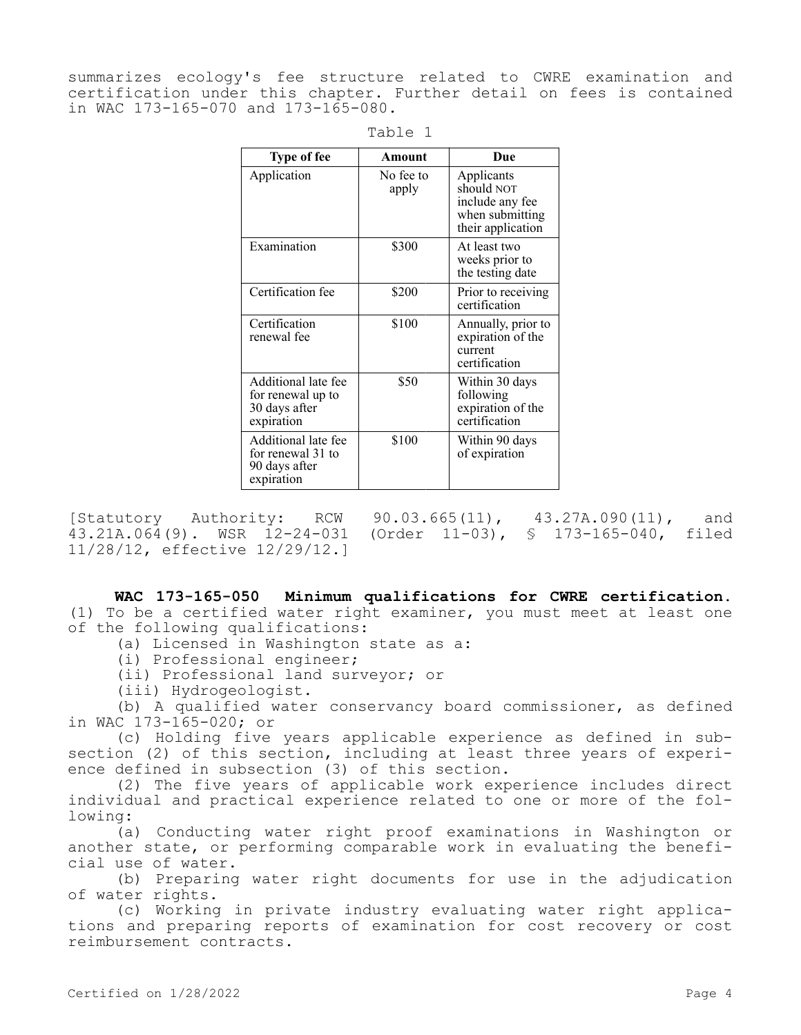summarizes ecology's fee structure related to CWRE examination and certification under this chapter. Further detail on fees is contained in WAC 173-165-070 and 173-165-080.

| <b>Type of fee</b>                                                      | Amount             | Due                                                                                 |
|-------------------------------------------------------------------------|--------------------|-------------------------------------------------------------------------------------|
| Application                                                             | No fee to<br>apply | Applicants<br>should NOT<br>include any fee<br>when submitting<br>their application |
| Examination                                                             | \$300              | At least two<br>weeks prior to<br>the testing date                                  |
| Certification fee                                                       | \$200              | Prior to receiving<br>certification                                                 |
| Certification<br>renewal fee                                            | \$100              | Annually, prior to<br>expiration of the<br>current<br>certification                 |
| Additional late fee<br>for renewal up to<br>30 days after<br>expiration | \$50               | Within 30 days<br>following<br>expiration of the<br>certification                   |
| Additional late fee<br>for renewal 31 to<br>90 days after<br>expiration | \$100              | Within 90 days<br>of expiration                                                     |

| $dD$ . |  |
|--------|--|
|--------|--|

[Statutory Authority: RCW 90.03.665(11), 43.27A.090(11), and 43.21A.064(9). WSR 12-24-031 (Order 11-03), § 173-165-040, filed 11/28/12, effective 12/29/12.]

**WAC 173-165-050 Minimum qualifications for CWRE certification.**  (1) To be a certified water right examiner, you must meet at least one of the following qualifications:

(a) Licensed in Washington state as a:

(i) Professional engineer;

(ii) Professional land surveyor; or

(iii) Hydrogeologist.

(b) A qualified water conservancy board commissioner, as defined in WAC 173-165-020; or

(c) Holding five years applicable experience as defined in subsection (2) of this section, including at least three years of experience defined in subsection (3) of this section.

(2) The five years of applicable work experience includes direct individual and practical experience related to one or more of the following:

(a) Conducting water right proof examinations in Washington or another state, or performing comparable work in evaluating the beneficial use of water.

(b) Preparing water right documents for use in the adjudication of water rights.

(c) Working in private industry evaluating water right applications and preparing reports of examination for cost recovery or cost reimbursement contracts.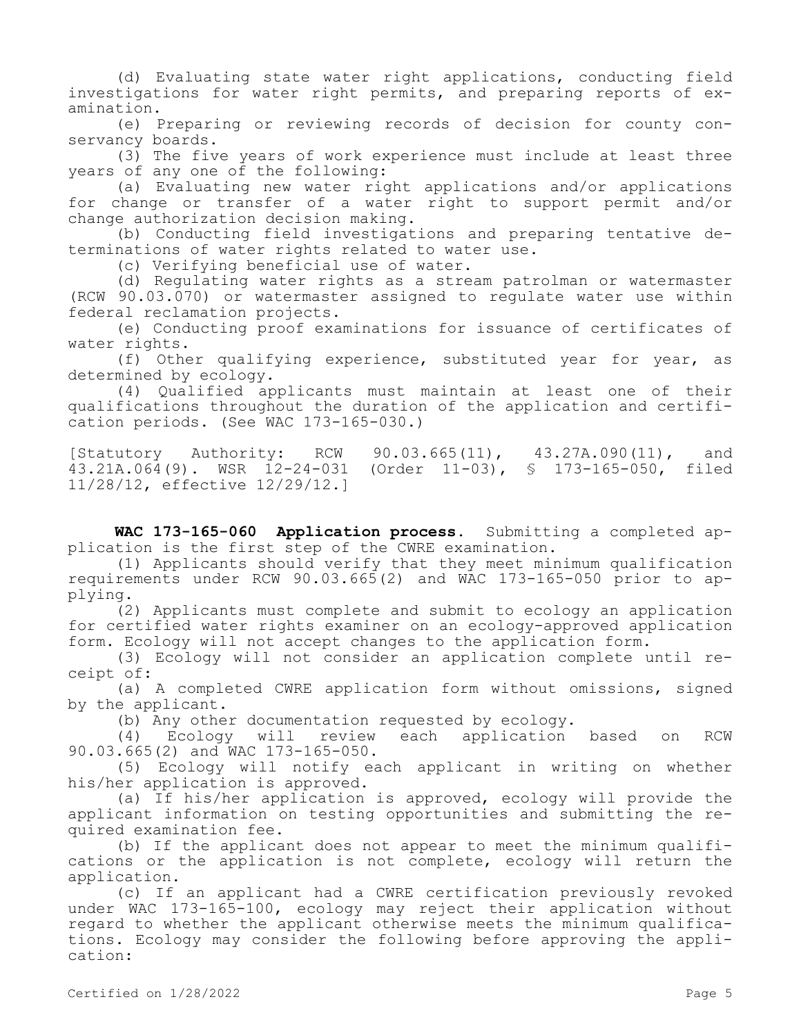(d) Evaluating state water right applications, conducting field investigations for water right permits, and preparing reports of examination.

(e) Preparing or reviewing records of decision for county conservancy boards.

(3) The five years of work experience must include at least three years of any one of the following:

(a) Evaluating new water right applications and/or applications for change or transfer of a water right to support permit and/or change authorization decision making.

(b) Conducting field investigations and preparing tentative determinations of water rights related to water use.

(c) Verifying beneficial use of water.

(d) Regulating water rights as a stream patrolman or watermaster (RCW 90.03.070) or watermaster assigned to regulate water use within federal reclamation projects.

(e) Conducting proof examinations for issuance of certificates of water rights.

(f) Other qualifying experience, substituted year for year, as determined by ecology.

(4) Qualified applicants must maintain at least one of their qualifications throughout the duration of the application and certification periods. (See WAC 173-165-030.)

[Statutory Authority: RCW 90.03.665(11), 43.27A.090(11), and 43.21A.064(9). WSR 12-24-031 (Order 11-03), § 173-165-050, filed 11/28/12, effective 12/29/12.]

**WAC 173-165-060 Application process.** Submitting a completed application is the first step of the CWRE examination.

(1) Applicants should verify that they meet minimum qualification requirements under RCW 90.03.665(2) and WAC 173-165-050 prior to applying.

(2) Applicants must complete and submit to ecology an application for certified water rights examiner on an ecology-approved application form. Ecology will not accept changes to the application form.

(3) Ecology will not consider an application complete until receipt of:

(a) A completed CWRE application form without omissions, signed by the applicant.

(b) Any other documentation requested by ecology.

(4) Ecology will review each application based on RCW 90.03.665(2) and WAC 173-165-050.

(5) Ecology will notify each applicant in writing on whether his/her application is approved.

(a) If his/her application is approved, ecology will provide the applicant information on testing opportunities and submitting the required examination fee.

(b) If the applicant does not appear to meet the minimum qualifications or the application is not complete, ecology will return the application.

(c) If an applicant had a CWRE certification previously revoked under WAC 173-165-100, ecology may reject their application without regard to whether the applicant otherwise meets the minimum qualifications. Ecology may consider the following before approving the application: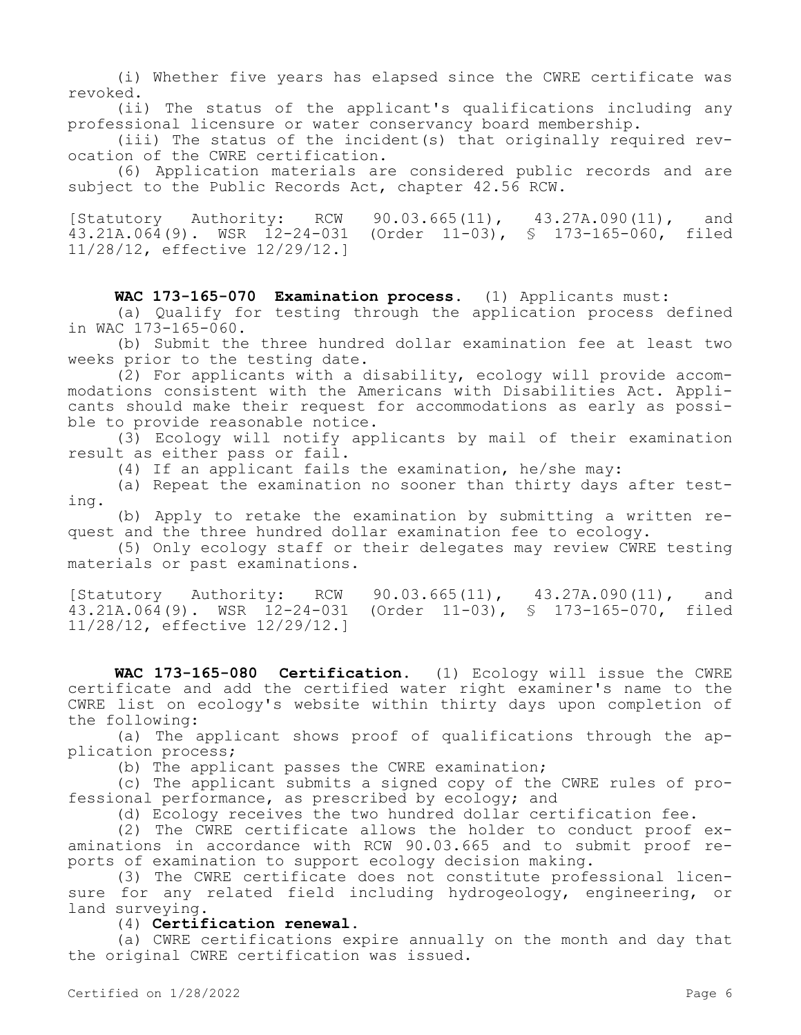(i) Whether five years has elapsed since the CWRE certificate was revoked.

(ii) The status of the applicant's qualifications including any professional licensure or water conservancy board membership.

(iii) The status of the incident(s) that originally required revocation of the CWRE certification.

(6) Application materials are considered public records and are subject to the Public Records Act, chapter 42.56 RCW.

[Statutory Authority: RCW 90.03.665(11), 43.27A.090(11), and 43.21A.064(9). WSR 12-24-031 (Order 11-03), § 173-165-060, filed 11/28/12, effective 12/29/12.]

**WAC 173-165-070 Examination process.** (1) Applicants must:

(a) Qualify for testing through the application process defined in WAC 173-165-060.

(b) Submit the three hundred dollar examination fee at least two weeks prior to the testing date.

(2) For applicants with a disability, ecology will provide accommodations consistent with the Americans with Disabilities Act. Applicants should make their request for accommodations as early as possible to provide reasonable notice.

(3) Ecology will notify applicants by mail of their examination result as either pass or fail.

(4) If an applicant fails the examination, he/she may:

(a) Repeat the examination no sooner than thirty days after testing.

(b) Apply to retake the examination by submitting a written request and the three hundred dollar examination fee to ecology.

(5) Only ecology staff or their delegates may review CWRE testing materials or past examinations.

[Statutory Authority: RCW 90.03.665(11), 43.27A.090(11), and 43.21A.064(9). WSR 12-24-031 (Order 11-03), § 173-165-070, filed 11/28/12, effective 12/29/12.]

**WAC 173-165-080 Certification.** (1) Ecology will issue the CWRE certificate and add the certified water right examiner's name to the CWRE list on ecology's website within thirty days upon completion of the following:

(a) The applicant shows proof of qualifications through the application process;

(b) The applicant passes the CWRE examination;

(c) The applicant submits a signed copy of the CWRE rules of professional performance, as prescribed by ecology; and

(d) Ecology receives the two hundred dollar certification fee.

(2) The CWRE certificate allows the holder to conduct proof examinations in accordance with RCW 90.03.665 and to submit proof reports of examination to support ecology decision making.

(3) The CWRE certificate does not constitute professional licensure for any related field including hydrogeology, engineering, or land surveying.

(4) **Certification renewal.**

(a) CWRE certifications expire annually on the month and day that the original CWRE certification was issued.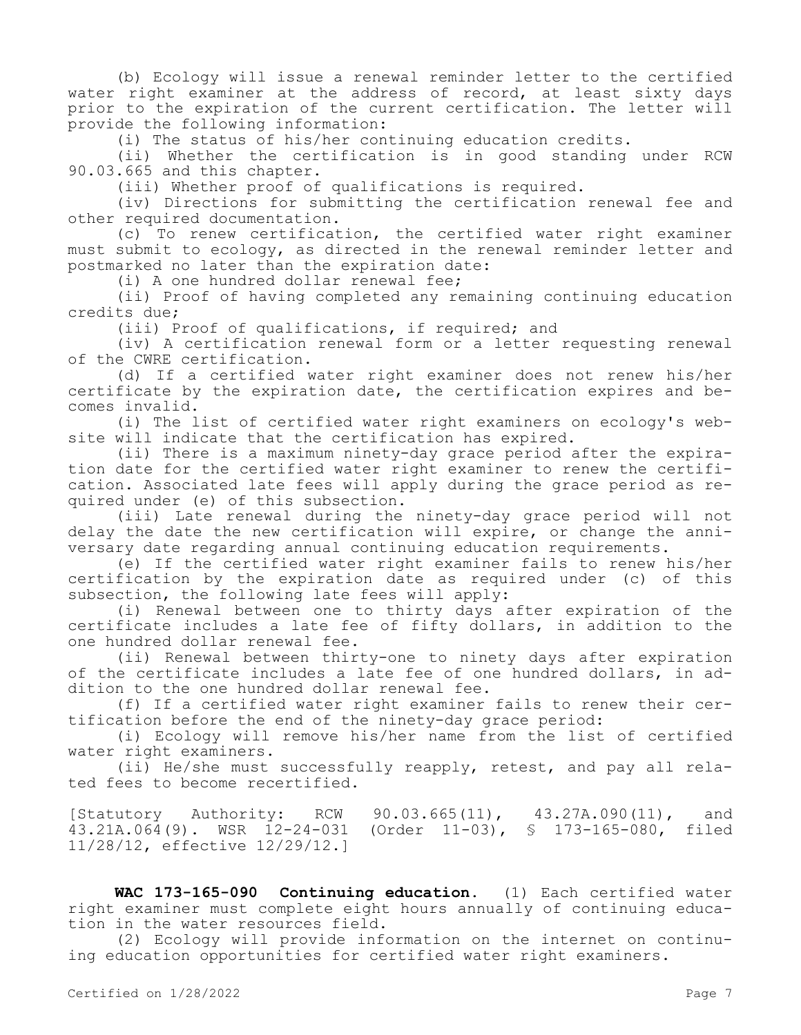(b) Ecology will issue a renewal reminder letter to the certified water right examiner at the address of record, at least sixty days prior to the expiration of the current certification. The letter will provide the following information:

(i) The status of his/her continuing education credits.

(ii) Whether the certification is in good standing under RCW 90.03.665 and this chapter.

(iii) Whether proof of qualifications is required.

(iv) Directions for submitting the certification renewal fee and other required documentation.

(c) To renew certification, the certified water right examiner must submit to ecology, as directed in the renewal reminder letter and postmarked no later than the expiration date:

(i) A one hundred dollar renewal fee;

(ii) Proof of having completed any remaining continuing education credits due;

(iii) Proof of qualifications, if required; and

(iv) A certification renewal form or a letter requesting renewal of the CWRE certification.

(d) If a certified water right examiner does not renew his/her certificate by the expiration date, the certification expires and becomes invalid.

(i) The list of certified water right examiners on ecology's website will indicate that the certification has expired.

(ii) There is a maximum ninety-day grace period after the expiration date for the certified water right examiner to renew the certification. Associated late fees will apply during the grace period as required under (e) of this subsection.

(iii) Late renewal during the ninety-day grace period will not delay the date the new certification will expire, or change the anniversary date regarding annual continuing education requirements.

(e) If the certified water right examiner fails to renew his/her certification by the expiration date as required under (c) of this subsection, the following late fees will apply:

(i) Renewal between one to thirty days after expiration of the certificate includes a late fee of fifty dollars, in addition to the one hundred dollar renewal fee.

(ii) Renewal between thirty-one to ninety days after expiration of the certificate includes a late fee of one hundred dollars, in addition to the one hundred dollar renewal fee.

(f) If a certified water right examiner fails to renew their certification before the end of the ninety-day grace period:

(i) Ecology will remove his/her name from the list of certified water right examiners.

(ii) He/she must successfully reapply, retest, and pay all related fees to become recertified.

[Statutory Authority: RCW 90.03.665(11), 43.27A.090(11), and 43.21A.064(9). WSR 12-24-031 (Order 11-03), § 173-165-080, filed 11/28/12, effective 12/29/12.]

**WAC 173-165-090 Continuing education.** (1) Each certified water right examiner must complete eight hours annually of continuing education in the water resources field.

(2) Ecology will provide information on the internet on continuing education opportunities for certified water right examiners.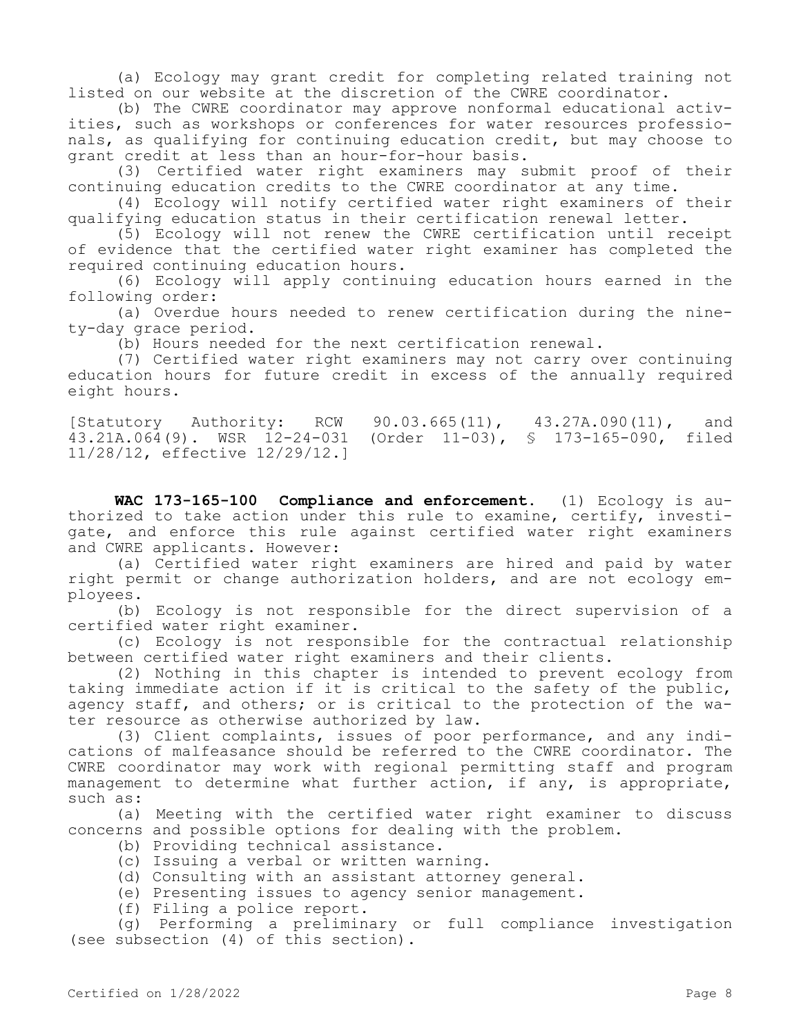(a) Ecology may grant credit for completing related training not listed on our website at the discretion of the CWRE coordinator.

(b) The CWRE coordinator may approve nonformal educational activities, such as workshops or conferences for water resources professionals, as qualifying for continuing education credit, but may choose to grant credit at less than an hour-for-hour basis.

(3) Certified water right examiners may submit proof of their continuing education credits to the CWRE coordinator at any time.

(4) Ecology will notify certified water right examiners of their qualifying education status in their certification renewal letter.

(5) Ecology will not renew the CWRE certification until receipt of evidence that the certified water right examiner has completed the required continuing education hours.

(6) Ecology will apply continuing education hours earned in the following order:

(a) Overdue hours needed to renew certification during the ninety-day grace period.

(b) Hours needed for the next certification renewal.

(7) Certified water right examiners may not carry over continuing education hours for future credit in excess of the annually required eight hours.

[Statutory Authority: RCW 90.03.665(11), 43.27A.090(11), and<br>43.21A.064(9). WSR 12-24-031 (Order 11-03), § 173-165-090, filed (Order 11-03), § 173-165-090, filed 11/28/12, effective 12/29/12.]

**WAC 173-165-100 Compliance and enforcement.** (1) Ecology is authorized to take action under this rule to examine, certify, investigate, and enforce this rule against certified water right examiners and CWRE applicants. However:

(a) Certified water right examiners are hired and paid by water right permit or change authorization holders, and are not ecology employees.

(b) Ecology is not responsible for the direct supervision of a certified water right examiner.

(c) Ecology is not responsible for the contractual relationship between certified water right examiners and their clients.

(2) Nothing in this chapter is intended to prevent ecology from taking immediate action if it is critical to the safety of the public, agency staff, and others; or is critical to the protection of the water resource as otherwise authorized by law.

(3) Client complaints, issues of poor performance, and any indications of malfeasance should be referred to the CWRE coordinator. The CWRE coordinator may work with regional permitting staff and program management to determine what further action, if any, is appropriate, such as:

(a) Meeting with the certified water right examiner to discuss concerns and possible options for dealing with the problem.

- (b) Providing technical assistance.
- (c) Issuing a verbal or written warning.
- (d) Consulting with an assistant attorney general.
- (e) Presenting issues to agency senior management.
- (f) Filing a police report.

(g) Performing a preliminary or full compliance investigation (see subsection (4) of this section).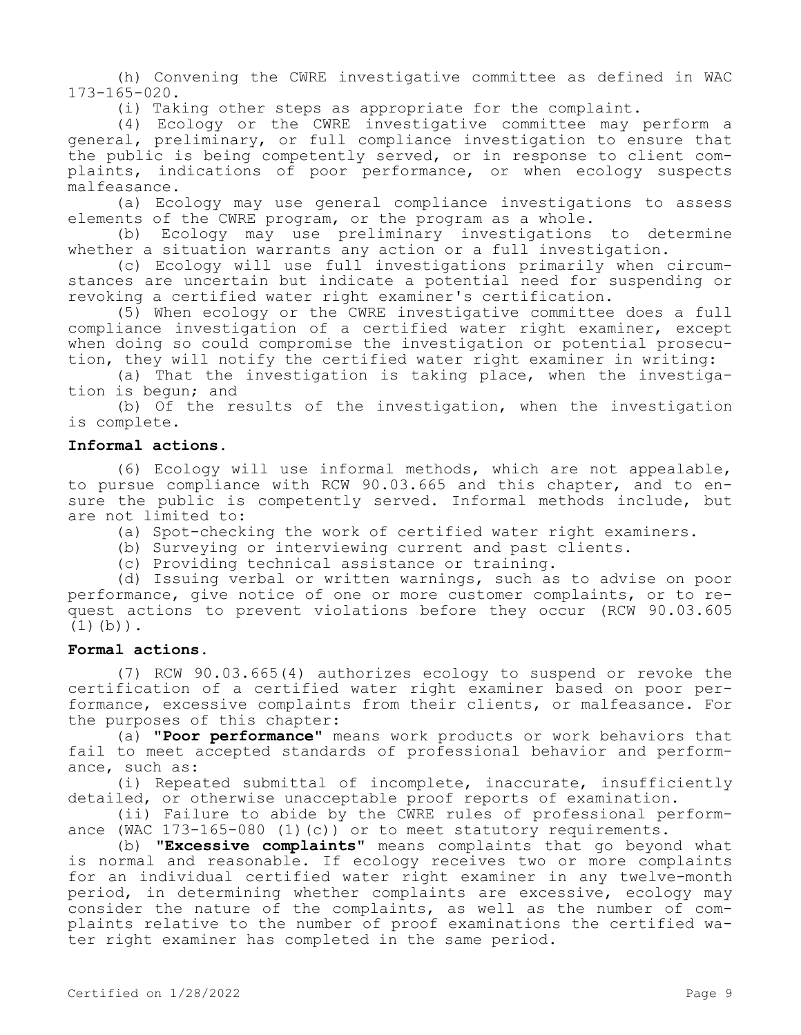(h) Convening the CWRE investigative committee as defined in WAC 173-165-020.

(i) Taking other steps as appropriate for the complaint.

(4) Ecology or the CWRE investigative committee may perform a general, preliminary, or full compliance investigation to ensure that the public is being competently served, or in response to client complaints, indications of poor performance, or when ecology suspects malfeasance.

(a) Ecology may use general compliance investigations to assess elements of the CWRE program, or the program as a whole.

(b) Ecology may use preliminary investigations to determine whether a situation warrants any action or a full investigation.

(c) Ecology will use full investigations primarily when circumstances are uncertain but indicate a potential need for suspending or revoking a certified water right examiner's certification.

(5) When ecology or the CWRE investigative committee does a full compliance investigation of a certified water right examiner, except when doing so could compromise the investigation or potential prosecution, they will notify the certified water right examiner in writing:

(a) That the investigation is taking place, when the investigation is begun; and

(b) Of the results of the investigation, when the investigation is complete.

## **Informal actions.**

(6) Ecology will use informal methods, which are not appealable, to pursue compliance with RCW 90.03.665 and this chapter, and to ensure the public is competently served. Informal methods include, but are not limited to:

(a) Spot-checking the work of certified water right examiners.

(b) Surveying or interviewing current and past clients.

(c) Providing technical assistance or training.

(d) Issuing verbal or written warnings, such as to advise on poor performance, give notice of one or more customer complaints, or to request actions to prevent violations before they occur (RCW 90.03.605  $(1)(b)$ .

## **Formal actions.**

(7) RCW 90.03.665(4) authorizes ecology to suspend or revoke the certification of a certified water right examiner based on poor performance, excessive complaints from their clients, or malfeasance. For the purposes of this chapter:

(a) **"Poor performance"** means work products or work behaviors that fail to meet accepted standards of professional behavior and performance, such as:

(i) Repeated submittal of incomplete, inaccurate, insufficiently detailed, or otherwise unacceptable proof reports of examination.

(ii) Failure to abide by the CWRE rules of professional performance (WAC  $173-165-080$  (1)(c)) or to meet statutory requirements.

(b) **"Excessive complaints"** means complaints that go beyond what is normal and reasonable. If ecology receives two or more complaints for an individual certified water right examiner in any twelve-month period, in determining whether complaints are excessive, ecology may consider the nature of the complaints, as well as the number of complaints relative to the number of proof examinations the certified water right examiner has completed in the same period.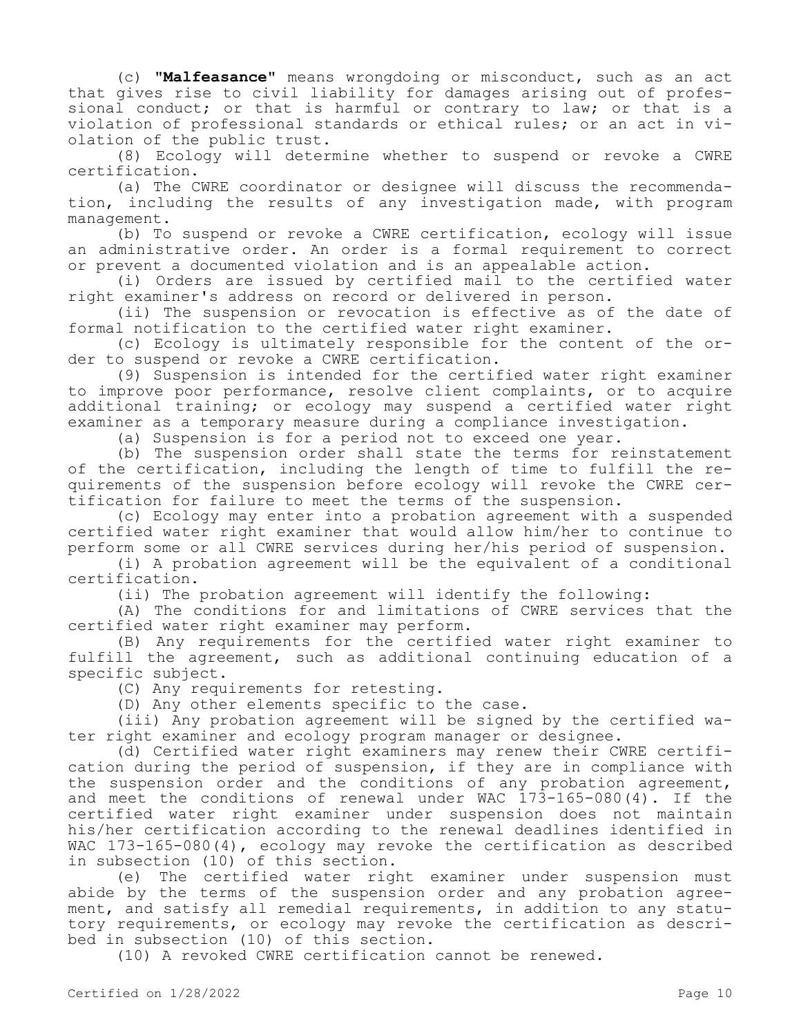(c) **"Malfeasance"** means wrongdoing or misconduct, such as an act that gives rise to civil liability for damages arising out of professional conduct; or that is harmful or contrary to law; or that is a violation of professional standards or ethical rules; or an act in violation of the public trust.

(8) Ecology will determine whether to suspend or revoke a CWRE certification.

(a) The CWRE coordinator or designee will discuss the recommendation, including the results of any investigation made, with program management.

(b) To suspend or revoke a CWRE certification, ecology will issue an administrative order. An order is a formal requirement to correct or prevent a documented violation and is an appealable action.

(i) Orders are issued by certified mail to the certified water right examiner's address on record or delivered in person.

(ii) The suspension or revocation is effective as of the date of formal notification to the certified water right examiner.

(c) Ecology is ultimately responsible for the content of the order to suspend or revoke a CWRE certification.

(9) Suspension is intended for the certified water right examiner to improve poor performance, resolve client complaints, or to acquire additional training; or ecology may suspend a certified water right examiner as a temporary measure during a compliance investigation.

(a) Suspension is for a period not to exceed one year.

(b) The suspension order shall state the terms for reinstatement of the certification, including the length of time to fulfill the requirements of the suspension before ecology will revoke the CWRE certification for failure to meet the terms of the suspension.

(c) Ecology may enter into a probation agreement with a suspended certified water right examiner that would allow him/her to continue to perform some or all CWRE services during her/his period of suspension.

(i) A probation agreement will be the equivalent of a conditional certification.

(ii) The probation agreement will identify the following:

(A) The conditions for and limitations of CWRE services that the certified water right examiner may perform.

(B) Any requirements for the certified water right examiner to fulfill the agreement, such as additional continuing education of a specific subject.

(C) Any requirements for retesting.

(D) Any other elements specific to the case.

(iii) Any probation agreement will be signed by the certified water right examiner and ecology program manager or designee.

(d) Certified water right examiners may renew their CWRE certification during the period of suspension, if they are in compliance with the suspension order and the conditions of any probation agreement, and meet the conditions of renewal under WAC 173-165-080(4). If the certified water right examiner under suspension does not maintain his/her certification according to the renewal deadlines identified in WAC 173-165-080(4), ecology may revoke the certification as described in subsection (10) of this section.

(e) The certified water right examiner under suspension must abide by the terms of the suspension order and any probation agreement, and satisfy all remedial requirements, in addition to any statutory requirements, or ecology may revoke the certification as described in subsection (10) of this section.

(10) A revoked CWRE certification cannot be renewed.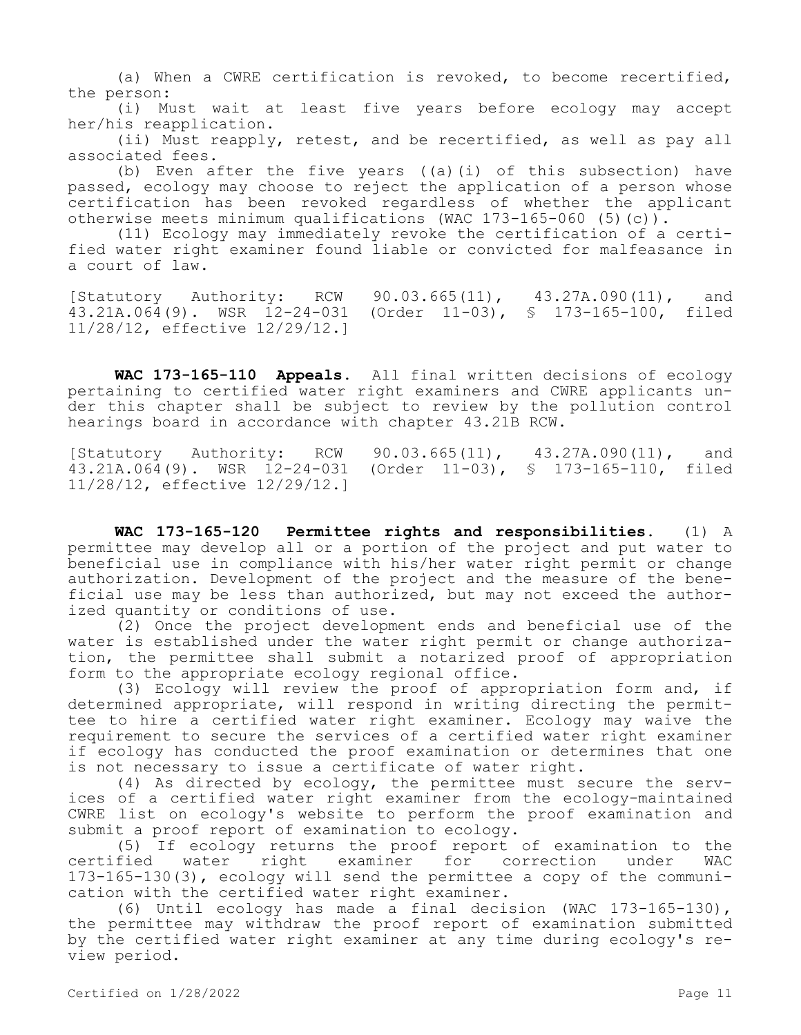(a) When a CWRE certification is revoked, to become recertified, the person:

(i) Must wait at least five years before ecology may accept her/his reapplication.

(ii) Must reapply, retest, and be recertified, as well as pay all associated fees.

(b) Even after the five years ((a)(i) of this subsection) have passed, ecology may choose to reject the application of a person whose certification has been revoked regardless of whether the applicant otherwise meets minimum qualifications (WAC 173-165-060 (5)(c)).

(11) Ecology may immediately revoke the certification of a certified water right examiner found liable or convicted for malfeasance in a court of law.

[Statutory Authority: RCW 90.03.665(11), 43.27A.090(11), and 43.21A.064(9). WSR 12-24-031 (Order 11-03), § 173-165-100, filed 11/28/12, effective 12/29/12.]

**WAC 173-165-110 Appeals.** All final written decisions of ecology pertaining to certified water right examiners and CWRE applicants under this chapter shall be subject to review by the pollution control hearings board in accordance with chapter 43.21B RCW.

[Statutory Authority: RCW 90.03.665(11), 43.27A.090(11), and<br>43.21A.064(9). WSR 12-24-031 (Order 11-03), § 173-165-110, filed (Order 11-03), § 173-165-110, filed 11/28/12, effective 12/29/12.]

**WAC 173-165-120 Permittee rights and responsibilities.** (1) A permittee may develop all or a portion of the project and put water to beneficial use in compliance with his/her water right permit or change authorization. Development of the project and the measure of the beneficial use may be less than authorized, but may not exceed the authorized quantity or conditions of use.

(2) Once the project development ends and beneficial use of the water is established under the water right permit or change authorization, the permittee shall submit a notarized proof of appropriation form to the appropriate ecology regional office.

(3) Ecology will review the proof of appropriation form and, if determined appropriate, will respond in writing directing the permittee to hire a certified water right examiner. Ecology may waive the requirement to secure the services of a certified water right examiner if ecology has conducted the proof examination or determines that one is not necessary to issue a certificate of water right.

(4) As directed by ecology, the permittee must secure the services of a certified water right examiner from the ecology-maintained CWRE list on ecology's website to perform the proof examination and submit a proof report of examination to ecology.

(5) If ecology returns the proof report of examination to the<br>certified water right examiner for correction under WAC for correction under 173-165-130(3), ecology will send the permittee a copy of the communication with the certified water right examiner.

(6) Until ecology has made a final decision (WAC 173-165-130), the permittee may withdraw the proof report of examination submitted by the certified water right examiner at any time during ecology's review period.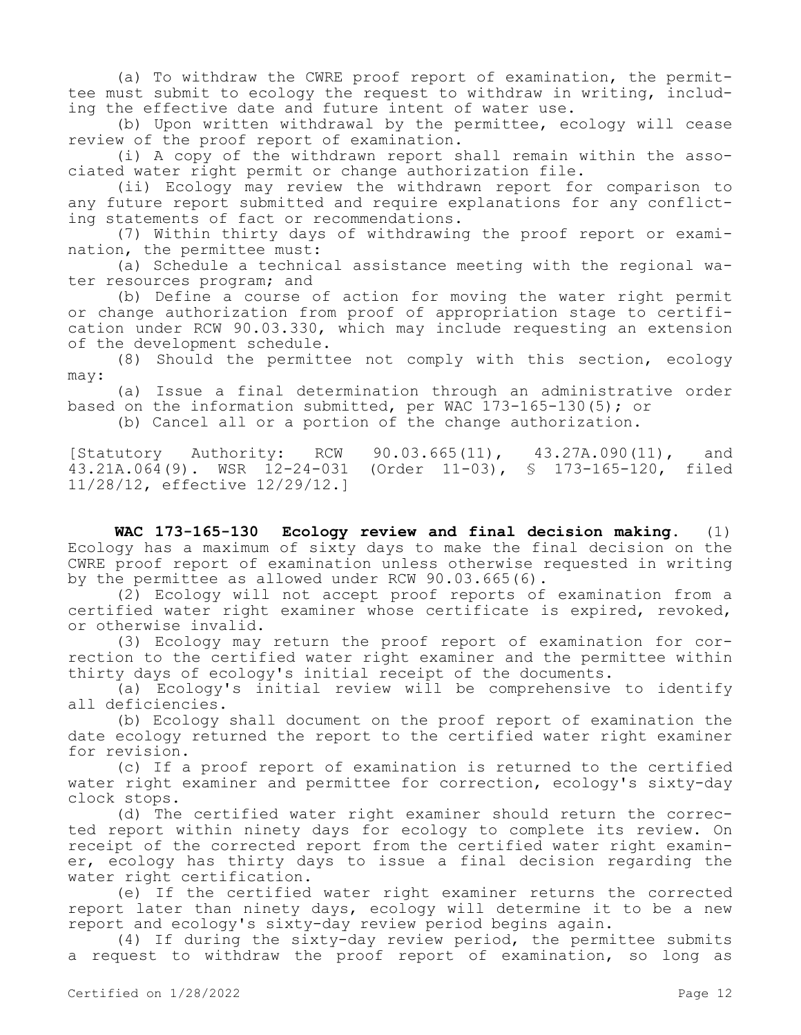(a) To withdraw the CWRE proof report of examination, the permittee must submit to ecology the request to withdraw in writing, including the effective date and future intent of water use.

(b) Upon written withdrawal by the permittee, ecology will cease review of the proof report of examination.

(i) A copy of the withdrawn report shall remain within the associated water right permit or change authorization file.

(ii) Ecology may review the withdrawn report for comparison to any future report submitted and require explanations for any conflicting statements of fact or recommendations.

(7) Within thirty days of withdrawing the proof report or examination, the permittee must:

(a) Schedule a technical assistance meeting with the regional water resources program; and

(b) Define a course of action for moving the water right permit or change authorization from proof of appropriation stage to certification under RCW 90.03.330, which may include requesting an extension of the development schedule.

(8) Should the permittee not comply with this section, ecology may:

(a) Issue a final determination through an administrative order based on the information submitted, per WAC 173-165-130(5); or

(b) Cancel all or a portion of the change authorization.

[Statutory Authority: RCW 90.03.665(11), 43.27A.090(11), and<br>43.21A.064(9). WSR 12-24-031 (Order 11-03), § 173-165-120, filed (Order 11-03), § 173-165-120, filed 11/28/12, effective 12/29/12.]

**WAC 173-165-130 Ecology review and final decision making.** (1) Ecology has a maximum of sixty days to make the final decision on the CWRE proof report of examination unless otherwise requested in writing by the permittee as allowed under RCW 90.03.665(6).

(2) Ecology will not accept proof reports of examination from a certified water right examiner whose certificate is expired, revoked, or otherwise invalid.

(3) Ecology may return the proof report of examination for correction to the certified water right examiner and the permittee within thirty days of ecology's initial receipt of the documents.

(a) Ecology's initial review will be comprehensive to identify all deficiencies.

(b) Ecology shall document on the proof report of examination the date ecology returned the report to the certified water right examiner for revision.

(c) If a proof report of examination is returned to the certified water right examiner and permittee for correction, ecology's sixty-day clock stops.

(d) The certified water right examiner should return the corrected report within ninety days for ecology to complete its review. On receipt of the corrected report from the certified water right examiner, ecology has thirty days to issue a final decision regarding the water right certification.

(e) If the certified water right examiner returns the corrected report later than ninety days, ecology will determine it to be a new report and ecology's sixty-day review period begins again.

(4) If during the sixty-day review period, the permittee submits a request to withdraw the proof report of examination, so long as